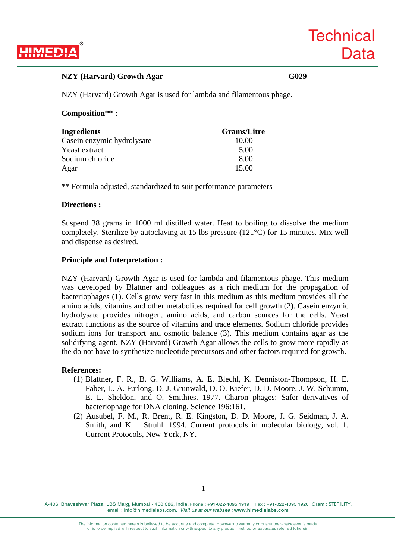

# NZY (Harvard) Growth Agar G029

NZY (Harvard) Growth Agar is used for lambda and filamentous phage.

### **Composition\*\* :**

| Ingredients                | <b>Grams/Litre</b> |
|----------------------------|--------------------|
| Casein enzymic hydrolysate | 10.00              |
| Yeast extract              | 5.00               |
| Sodium chloride            | 8.00               |
| Agar                       | 15.00              |

\*\* Formula adjusted, standardized to suit performance parameters

### **Directions :**

Suspend 38 grams in 1000 ml distilled water. Heat to boiling to dissolve the medium completely. Sterilize by autoclaving at 15 lbs pressure (121°C) for 15 minutes. Mix well and dispense as desired.

### **Principle and Interpretation :**

NZY (Harvard) Growth Agar is used for lambda and filamentous phage. This medium was developed by Blattner and colleagues as a rich medium for the propagation of bacteriophages (1). Cells grow very fast in this medium as this medium provides all the amino acids, vitamins and other metabolites required for cell growth (2). Casein enzymic hydrolysate provides nitrogen, amino acids, and carbon sources for the cells. Yeast extract functions as the source of vitamins and trace elements. Sodium chloride provides sodium ions for transport and osmotic balance (3). This medium contains agar as the solidifying agent. NZY (Harvard) Growth Agar allows the cells to grow more rapidly as the do not have to synthesize nucleotide precursors and other factors required for growth.

#### **References:**

- (1) Blattner, F. R., B. G. Williams, A. E. Blechl, K. Denniston-Thompson, H. E. Faber, L. A. Furlong, D. J. Grunwald, D. O. Kiefer, D. D. Moore, J. W. Schumm, E. L. Sheldon, and O. Smithies. 1977. Charon phages: Safer derivatives of bacteriophage for DNA cloning. Science 196:161.
- (2) Ausubel, F. M., R. Brent, R. E. Kingston, D. D. Moore, J. G. Seidman, J. A. Smith, and K. Struhl. 1994. Current protocols in molecular biology, vol. 1. Current Protocols, New York, NY.

A-406, Bhaveshwar Plaza, LBS Marg, Mumbai - 400 086, India. Phone : +91-022-4095 1919 Fax : +91-022-4095 1920 Gram : STERILITY. email : info@himedialabs.com. *Visit us at our website :* **www.himedialabs.com**